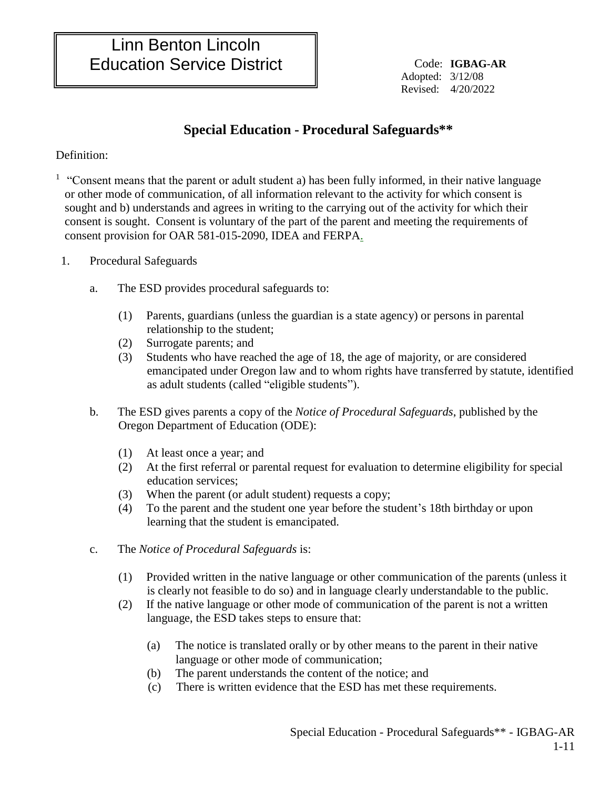Adopted: 3/12/08 Revised: 4/20/2022

## **Special Education - Procedural Safeguards\*\***

Definition:

<sup>1</sup> "Consent means that the parent or adult student a) has been fully informed, in their native language or other mode of communication, of all information relevant to the activity for which consent is sought and b) understands and agrees in writing to the carrying out of the activity for which their consent is sought. Consent is voluntary of the part of the parent and meeting the requirements of consent provision for OAR 581-015-2090, IDEA and FERPA.

- 1. Procedural Safeguards
	- a. The ESD provides procedural safeguards to:
		- (1) Parents, guardians (unless the guardian is a state agency) or persons in parental relationship to the student;
		- (2) Surrogate parents; and
		- (3) Students who have reached the age of 18, the age of majority, or are considered emancipated under Oregon law and to whom rights have transferred by statute, identified as adult students (called "eligible students").
	- b. The ESD gives parents a copy of the *Notice of Procedural Safeguards*, published by the Oregon Department of Education (ODE):
		- (1) At least once a year; and
		- (2) At the first referral or parental request for evaluation to determine eligibility for special education services;
		- (3) When the parent (or adult student) requests a copy;
		- (4) To the parent and the student one year before the student's 18th birthday or upon learning that the student is emancipated.
	- c. The *Notice of Procedural Safeguards* is:
		- (1) Provided written in the native language or other communication of the parents (unless it is clearly not feasible to do so) and in language clearly understandable to the public.
		- (2) If the native language or other mode of communication of the parent is not a written language, the ESD takes steps to ensure that:
			- (a) The notice is translated orally or by other means to the parent in their native language or other mode of communication;
			- (b) The parent understands the content of the notice; and
			- (c) There is written evidence that the ESD has met these requirements.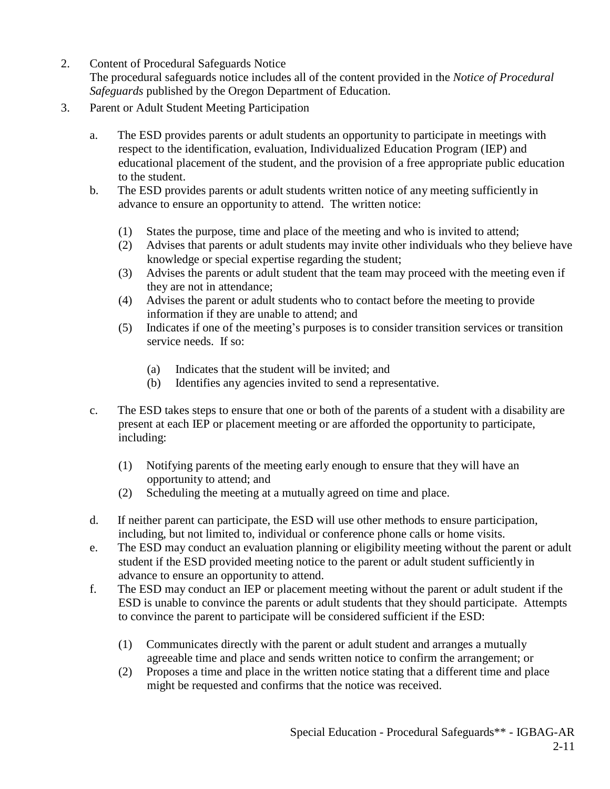- 2. Content of Procedural Safeguards Notice
	- The procedural safeguards notice includes all of the content provided in the *Notice of Procedural Safeguards* published by the Oregon Department of Education.
- 3. Parent or Adult Student Meeting Participation
	- a. The ESD provides parents or adult students an opportunity to participate in meetings with respect to the identification, evaluation, Individualized Education Program (IEP) and educational placement of the student, and the provision of a free appropriate public education to the student.
	- b. The ESD provides parents or adult students written notice of any meeting sufficiently in advance to ensure an opportunity to attend. The written notice:
		- (1) States the purpose, time and place of the meeting and who is invited to attend;
		- (2) Advises that parents or adult students may invite other individuals who they believe have knowledge or special expertise regarding the student;
		- (3) Advises the parents or adult student that the team may proceed with the meeting even if they are not in attendance;
		- (4) Advises the parent or adult students who to contact before the meeting to provide information if they are unable to attend; and
		- (5) Indicates if one of the meeting's purposes is to consider transition services or transition service needs. If so:
			- (a) Indicates that the student will be invited; and
			- (b) Identifies any agencies invited to send a representative.
	- c. The ESD takes steps to ensure that one or both of the parents of a student with a disability are present at each IEP or placement meeting or are afforded the opportunity to participate, including:
		- (1) Notifying parents of the meeting early enough to ensure that they will have an opportunity to attend; and
		- (2) Scheduling the meeting at a mutually agreed on time and place.
	- d. If neither parent can participate, the ESD will use other methods to ensure participation, including, but not limited to, individual or conference phone calls or home visits.
	- e. The ESD may conduct an evaluation planning or eligibility meeting without the parent or adult student if the ESD provided meeting notice to the parent or adult student sufficiently in advance to ensure an opportunity to attend.
	- f. The ESD may conduct an IEP or placement meeting without the parent or adult student if the ESD is unable to convince the parents or adult students that they should participate. Attempts to convince the parent to participate will be considered sufficient if the ESD:
		- (1) Communicates directly with the parent or adult student and arranges a mutually agreeable time and place and sends written notice to confirm the arrangement; or
		- (2) Proposes a time and place in the written notice stating that a different time and place might be requested and confirms that the notice was received.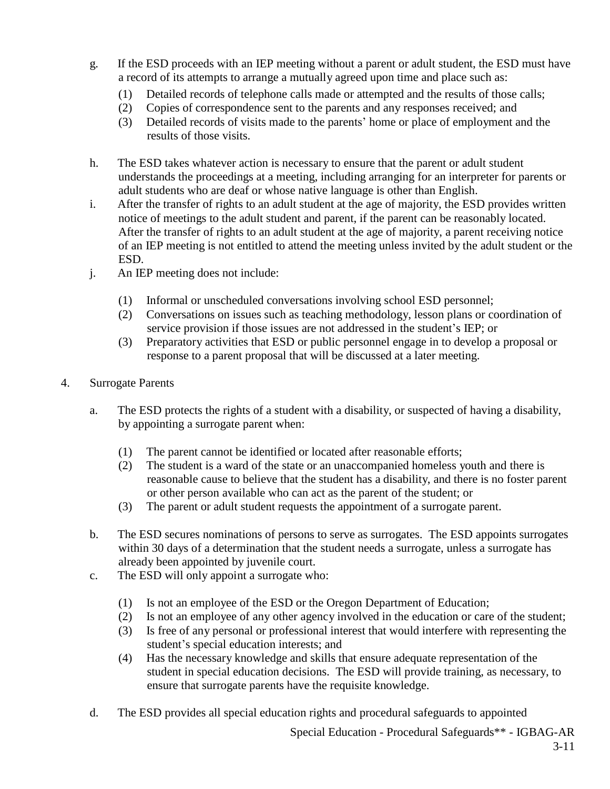- g. If the ESD proceeds with an IEP meeting without a parent or adult student, the ESD must have a record of its attempts to arrange a mutually agreed upon time and place such as:
	- (1) Detailed records of telephone calls made or attempted and the results of those calls;
	- (2) Copies of correspondence sent to the parents and any responses received; and
	- (3) Detailed records of visits made to the parents' home or place of employment and the results of those visits.
- h. The ESD takes whatever action is necessary to ensure that the parent or adult student understands the proceedings at a meeting, including arranging for an interpreter for parents or adult students who are deaf or whose native language is other than English.
- i. After the transfer of rights to an adult student at the age of majority, the ESD provides written notice of meetings to the adult student and parent, if the parent can be reasonably located. After the transfer of rights to an adult student at the age of majority, a parent receiving notice of an IEP meeting is not entitled to attend the meeting unless invited by the adult student or the ESD.
- j. An IEP meeting does not include:
	- (1) Informal or unscheduled conversations involving school ESD personnel;
	- (2) Conversations on issues such as teaching methodology, lesson plans or coordination of service provision if those issues are not addressed in the student's IEP; or
	- (3) Preparatory activities that ESD or public personnel engage in to develop a proposal or response to a parent proposal that will be discussed at a later meeting.
- 4. Surrogate Parents
	- a. The ESD protects the rights of a student with a disability, or suspected of having a disability, by appointing a surrogate parent when:
		- (1) The parent cannot be identified or located after reasonable efforts;
		- (2) The student is a ward of the state or an unaccompanied homeless youth and there is reasonable cause to believe that the student has a disability, and there is no foster parent or other person available who can act as the parent of the student; or
		- (3) The parent or adult student requests the appointment of a surrogate parent.
	- b. The ESD secures nominations of persons to serve as surrogates. The ESD appoints surrogates within 30 days of a determination that the student needs a surrogate, unless a surrogate has already been appointed by juvenile court.
	- c. The ESD will only appoint a surrogate who:
		- (1) Is not an employee of the ESD or the Oregon Department of Education;
		- (2) Is not an employee of any other agency involved in the education or care of the student;
		- (3) Is free of any personal or professional interest that would interfere with representing the student's special education interests; and
		- (4) Has the necessary knowledge and skills that ensure adequate representation of the student in special education decisions. The ESD will provide training, as necessary, to ensure that surrogate parents have the requisite knowledge.
	- d. The ESD provides all special education rights and procedural safeguards to appointed

Special Education - Procedural Safeguards\*\* - IGBAG-AR 3-11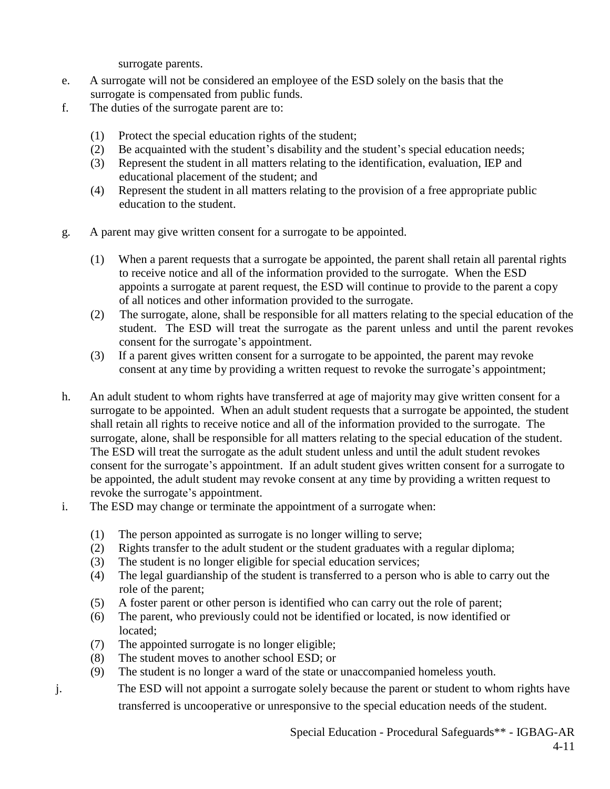surrogate parents.

- e. A surrogate will not be considered an employee of the ESD solely on the basis that the surrogate is compensated from public funds.
- f. The duties of the surrogate parent are to:
	- (1) Protect the special education rights of the student;
	- (2) Be acquainted with the student's disability and the student's special education needs;
	- (3) Represent the student in all matters relating to the identification, evaluation, IEP and educational placement of the student; and
	- (4) Represent the student in all matters relating to the provision of a free appropriate public education to the student.
- g. A parent may give written consent for a surrogate to be appointed.
	- (1) When a parent requests that a surrogate be appointed, the parent shall retain all parental rights to receive notice and all of the information provided to the surrogate. When the ESD appoints a surrogate at parent request, the ESD will continue to provide to the parent a copy of all notices and other information provided to the surrogate.
	- (2) The surrogate, alone, shall be responsible for all matters relating to the special education of the student. The ESD will treat the surrogate as the parent unless and until the parent revokes consent for the surrogate's appointment.
	- (3) If a parent gives written consent for a surrogate to be appointed, the parent may revoke consent at any time by providing a written request to revoke the surrogate's appointment;
- h. An adult student to whom rights have transferred at age of majority may give written consent for a surrogate to be appointed. When an adult student requests that a surrogate be appointed, the student shall retain all rights to receive notice and all of the information provided to the surrogate. The surrogate, alone, shall be responsible for all matters relating to the special education of the student. The ESD will treat the surrogate as the adult student unless and until the adult student revokes consent for the surrogate's appointment. If an adult student gives written consent for a surrogate to be appointed, the adult student may revoke consent at any time by providing a written request to revoke the surrogate's appointment.
- i. The ESD may change or terminate the appointment of a surrogate when:
	- (1) The person appointed as surrogate is no longer willing to serve;
	- (2) Rights transfer to the adult student or the student graduates with a regular diploma;
	- (3) The student is no longer eligible for special education services;
	- (4) The legal guardianship of the student is transferred to a person who is able to carry out the role of the parent;
	- (5) A foster parent or other person is identified who can carry out the role of parent;
	- (6) The parent, who previously could not be identified or located, is now identified or located;
	- (7) The appointed surrogate is no longer eligible;
	- (8) The student moves to another school ESD; or
	- (9) The student is no longer a ward of the state or unaccompanied homeless youth.
- j. The ESD will not appoint a surrogate solely because the parent or student to whom rights have transferred is uncooperative or unresponsive to the special education needs of the student.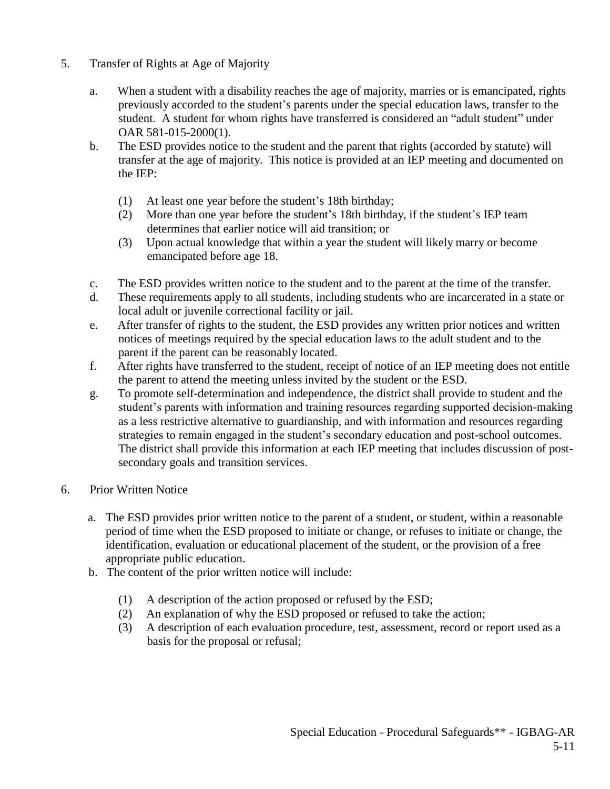- 5. Transfer of Rights at Age of Majority
	- a. When a student with a disability reaches the age of majority, marries or is emancipated, rights previously accorded to the student's parents under the special education laws, transfer to the student. A student for whom rights have transferred is considered an "adult student" under OAR 581-015-2000(1).
	- b. The ESD provides notice to the student and the parent that rights (accorded by statute) will transfer at the age of majority. This notice is provided at an IEP meeting and documented on the IEP:
		- (1) At least one year before the student's 18th birthday;
		- (2) More than one year before the student's 18th birthday, if the student's IEP team determines that earlier notice will aid transition; or
		- (3) Upon actual knowledge that within a year the student will likely marry or become emancipated before age 18.
	- c. The ESD provides written notice to the student and to the parent at the time of the transfer.
	- d. These requirements apply to all students, including students who are incarcerated in a state or local adult or juvenile correctional facility or jail.
	- e. After transfer of rights to the student, the ESD provides any written prior notices and written notices of meetings required by the special education laws to the adult student and to the parent if the parent can be reasonably located.
	- f. After rights have transferred to the student, receipt of notice of an IEP meeting does not entitle the parent to attend the meeting unless invited by the student or the ESD.
	- g. To promote self-determination and independence, the district shall provide to student and the student's parents with information and training resources regarding supported decision-making as a less restrictive alternative to guardianship, and with information and resources regarding strategies to remain engaged in the student's secondary education and post-school outcomes. The district shall provide this information at each IEP meeting that includes discussion of postsecondary goals and transition services.
- 6. Prior Written Notice
	- a. The ESD provides prior written notice to the parent of a student, or student, within a reasonable period of time when the ESD proposed to initiate or change, or refuses to initiate or change, the identification, evaluation or educational placement of the student, or the provision of a free appropriate public education.
	- b. The content of the prior written notice will include:
		- (1) A description of the action proposed or refused by the ESD;
		- (2) An explanation of why the ESD proposed or refused to take the action;
		- (3) A description of each evaluation procedure, test, assessment, record or report used as a basis for the proposal or refusal;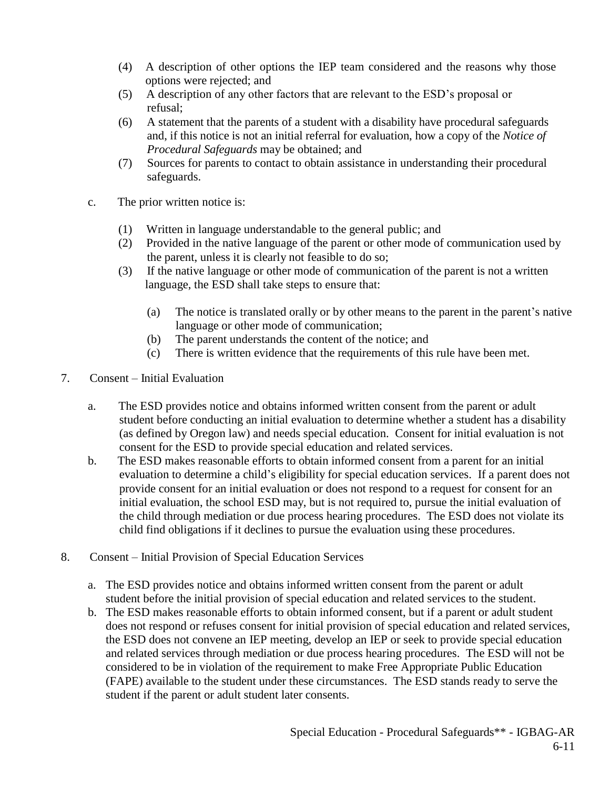- (4) A description of other options the IEP team considered and the reasons why those options were rejected; and
- (5) A description of any other factors that are relevant to the ESD's proposal or refusal;
- (6) A statement that the parents of a student with a disability have procedural safeguards and, if this notice is not an initial referral for evaluation, how a copy of the *Notice of Procedural Safeguards* may be obtained; and
- (7) Sources for parents to contact to obtain assistance in understanding their procedural safeguards.
- c. The prior written notice is:
	- (1) Written in language understandable to the general public; and
	- (2) Provided in the native language of the parent or other mode of communication used by the parent, unless it is clearly not feasible to do so;
	- (3) If the native language or other mode of communication of the parent is not a written language, the ESD shall take steps to ensure that:
		- (a) The notice is translated orally or by other means to the parent in the parent's native language or other mode of communication;
		- (b) The parent understands the content of the notice; and
		- (c) There is written evidence that the requirements of this rule have been met.
- 7. Consent Initial Evaluation
	- a. The ESD provides notice and obtains informed written consent from the parent or adult student before conducting an initial evaluation to determine whether a student has a disability (as defined by Oregon law) and needs special education. Consent for initial evaluation is not consent for the ESD to provide special education and related services.
	- b. The ESD makes reasonable efforts to obtain informed consent from a parent for an initial evaluation to determine a child's eligibility for special education services. If a parent does not provide consent for an initial evaluation or does not respond to a request for consent for an initial evaluation, the school ESD may, but is not required to, pursue the initial evaluation of the child through mediation or due process hearing procedures. The ESD does not violate its child find obligations if it declines to pursue the evaluation using these procedures.
- 8. Consent Initial Provision of Special Education Services
	- a. The ESD provides notice and obtains informed written consent from the parent or adult student before the initial provision of special education and related services to the student.
	- b. The ESD makes reasonable efforts to obtain informed consent, but if a parent or adult student does not respond or refuses consent for initial provision of special education and related services, the ESD does not convene an IEP meeting, develop an IEP or seek to provide special education and related services through mediation or due process hearing procedures. The ESD will not be considered to be in violation of the requirement to make Free Appropriate Public Education (FAPE) available to the student under these circumstances. The ESD stands ready to serve the student if the parent or adult student later consents.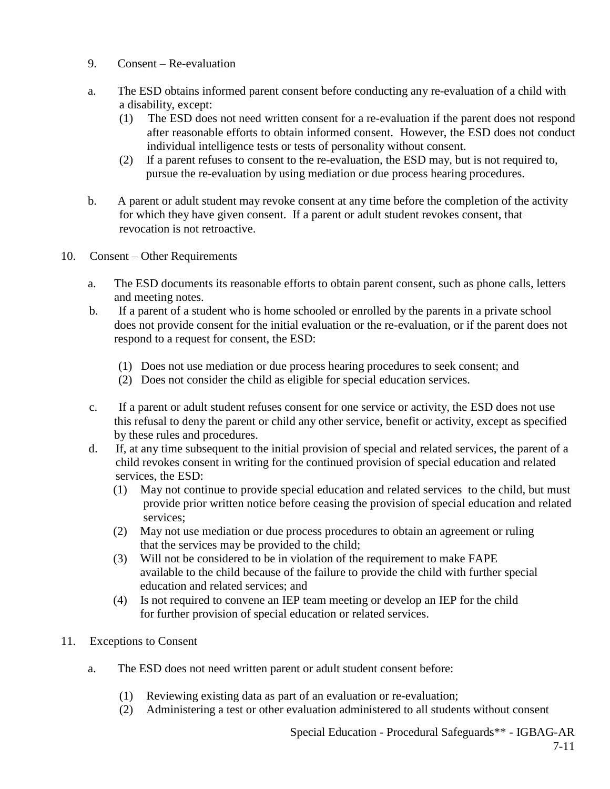- 9. Consent Re-evaluation
- a. The ESD obtains informed parent consent before conducting any re-evaluation of a child with a disability, except:
	- (1) The ESD does not need written consent for a re-evaluation if the parent does not respond after reasonable efforts to obtain informed consent. However, the ESD does not conduct individual intelligence tests or tests of personality without consent.
	- (2) If a parent refuses to consent to the re-evaluation, the ESD may, but is not required to, pursue the re-evaluation by using mediation or due process hearing procedures.
- b. A parent or adult student may revoke consent at any time before the completion of the activity for which they have given consent. If a parent or adult student revokes consent, that revocation is not retroactive.
- 10. Consent Other Requirements
	- a. The ESD documents its reasonable efforts to obtain parent consent, such as phone calls, letters and meeting notes.
	- b. If a parent of a student who is home schooled or enrolled by the parents in a private school does not provide consent for the initial evaluation or the re-evaluation, or if the parent does not respond to a request for consent, the ESD:
		- (1) Does not use mediation or due process hearing procedures to seek consent; and
		- (2) Does not consider the child as eligible for special education services.
	- c. If a parent or adult student refuses consent for one service or activity, the ESD does not use this refusal to deny the parent or child any other service, benefit or activity, except as specified by these rules and procedures.
	- d. If, at any time subsequent to the initial provision of special and related services, the parent of a child revokes consent in writing for the continued provision of special education and related services, the ESD:
		- (1) May not continue to provide special education and related services to the child, but must provide prior written notice before ceasing the provision of special education and related services;
		- (2) May not use mediation or due process procedures to obtain an agreement or ruling that the services may be provided to the child;
		- (3) Will not be considered to be in violation of the requirement to make FAPE available to the child because of the failure to provide the child with further special education and related services; and
		- (4) Is not required to convene an IEP team meeting or develop an IEP for the child for further provision of special education or related services.
- 11. Exceptions to Consent
	- a. The ESD does not need written parent or adult student consent before:
		- (1) Reviewing existing data as part of an evaluation or re-evaluation;
		- (2) Administering a test or other evaluation administered to all students without consent

Special Education - Procedural Safeguards\*\* - IGBAG-AR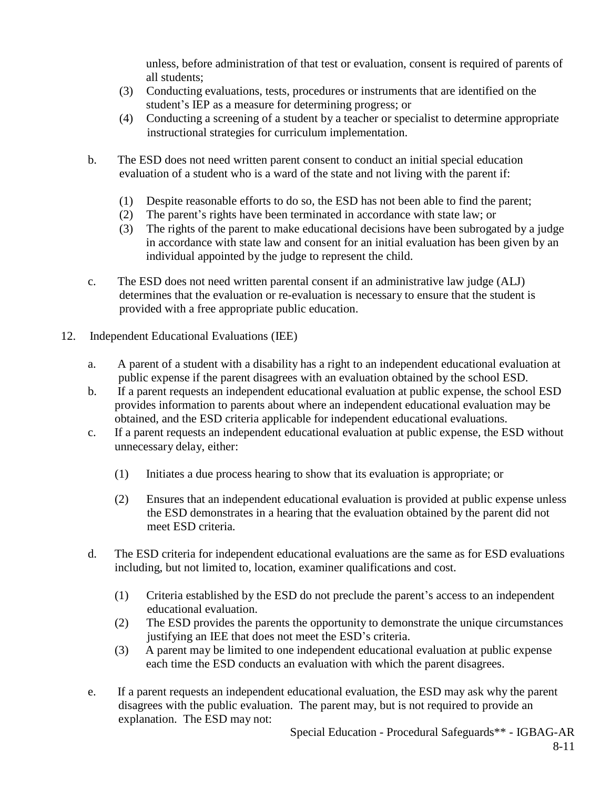unless, before administration of that test or evaluation, consent is required of parents of all students;

- (3) Conducting evaluations, tests, procedures or instruments that are identified on the student's IEP as a measure for determining progress; or
- (4) Conducting a screening of a student by a teacher or specialist to determine appropriate instructional strategies for curriculum implementation.
- b. The ESD does not need written parent consent to conduct an initial special education evaluation of a student who is a ward of the state and not living with the parent if:
	- (1) Despite reasonable efforts to do so, the ESD has not been able to find the parent;
	- (2) The parent's rights have been terminated in accordance with state law; or
	- (3) The rights of the parent to make educational decisions have been subrogated by a judge in accordance with state law and consent for an initial evaluation has been given by an individual appointed by the judge to represent the child.
- c. The ESD does not need written parental consent if an administrative law judge (ALJ) determines that the evaluation or re-evaluation is necessary to ensure that the student is provided with a free appropriate public education.
- 12. Independent Educational Evaluations (IEE)
	- a. A parent of a student with a disability has a right to an independent educational evaluation at public expense if the parent disagrees with an evaluation obtained by the school ESD.
	- b. If a parent requests an independent educational evaluation at public expense, the school ESD provides information to parents about where an independent educational evaluation may be obtained, and the ESD criteria applicable for independent educational evaluations.
	- c. If a parent requests an independent educational evaluation at public expense, the ESD without unnecessary delay, either:
		- (1) Initiates a due process hearing to show that its evaluation is appropriate; or
		- (2) Ensures that an independent educational evaluation is provided at public expense unless the ESD demonstrates in a hearing that the evaluation obtained by the parent did not meet ESD criteria.
	- d. The ESD criteria for independent educational evaluations are the same as for ESD evaluations including, but not limited to, location, examiner qualifications and cost.
		- (1) Criteria established by the ESD do not preclude the parent's access to an independent educational evaluation.
		- (2) The ESD provides the parents the opportunity to demonstrate the unique circumstances justifying an IEE that does not meet the ESD's criteria.
		- (3) A parent may be limited to one independent educational evaluation at public expense each time the ESD conducts an evaluation with which the parent disagrees.
	- e. If a parent requests an independent educational evaluation, the ESD may ask why the parent disagrees with the public evaluation. The parent may, but is not required to provide an explanation. The ESD may not:

Special Education - Procedural Safeguards\*\* - IGBAG-AR 8-11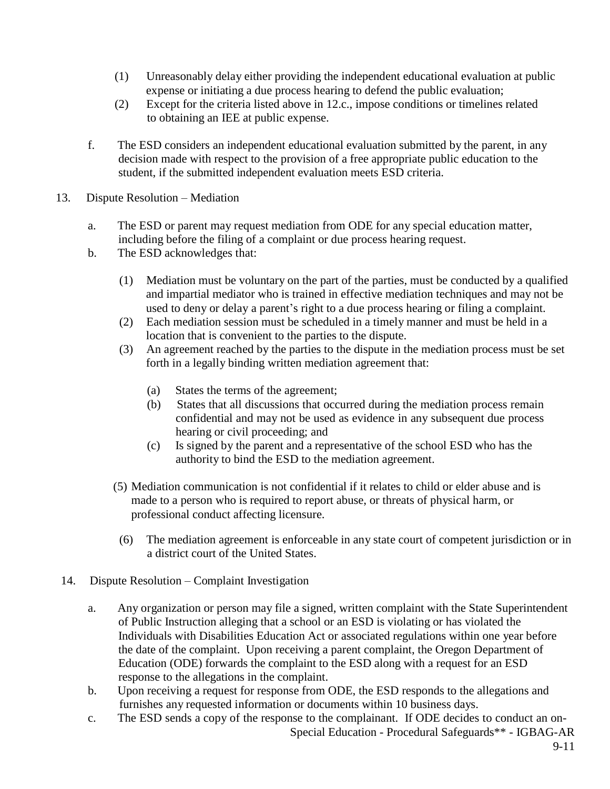- (1) Unreasonably delay either providing the independent educational evaluation at public expense or initiating a due process hearing to defend the public evaluation;
- (2) Except for the criteria listed above in 12.c., impose conditions or timelines related to obtaining an IEE at public expense.
- f. The ESD considers an independent educational evaluation submitted by the parent, in any decision made with respect to the provision of a free appropriate public education to the student, if the submitted independent evaluation meets ESD criteria.
- 13. Dispute Resolution Mediation
	- a. The ESD or parent may request mediation from ODE for any special education matter, including before the filing of a complaint or due process hearing request.
	- b. The ESD acknowledges that:
		- (1) Mediation must be voluntary on the part of the parties, must be conducted by a qualified and impartial mediator who is trained in effective mediation techniques and may not be used to deny or delay a parent's right to a due process hearing or filing a complaint.
		- (2) Each mediation session must be scheduled in a timely manner and must be held in a location that is convenient to the parties to the dispute.
		- (3) An agreement reached by the parties to the dispute in the mediation process must be set forth in a legally binding written mediation agreement that:
			- (a) States the terms of the agreement;
			- (b) States that all discussions that occurred during the mediation process remain confidential and may not be used as evidence in any subsequent due process hearing or civil proceeding; and
			- (c) Is signed by the parent and a representative of the school ESD who has the authority to bind the ESD to the mediation agreement.
		- (5) Mediation communication is not confidential if it relates to child or elder abuse and is made to a person who is required to report abuse, or threats of physical harm, or professional conduct affecting licensure.
			- (6) The mediation agreement is enforceable in any state court of competent jurisdiction or in a district court of the United States.
- 14. Dispute Resolution Complaint Investigation
	- a. Any organization or person may file a signed, written complaint with the State Superintendent of Public Instruction alleging that a school or an ESD is violating or has violated the Individuals with Disabilities Education Act or associated regulations within one year before the date of the complaint. Upon receiving a parent complaint, the Oregon Department of Education (ODE) forwards the complaint to the ESD along with a request for an ESD response to the allegations in the complaint.
	- b. Upon receiving a request for response from ODE, the ESD responds to the allegations and furnishes any requested information or documents within 10 business days.
	- Special Education Procedural Safeguards\*\* IGBAG-AR c. The ESD sends a copy of the response to the complainant. If ODE decides to conduct an on-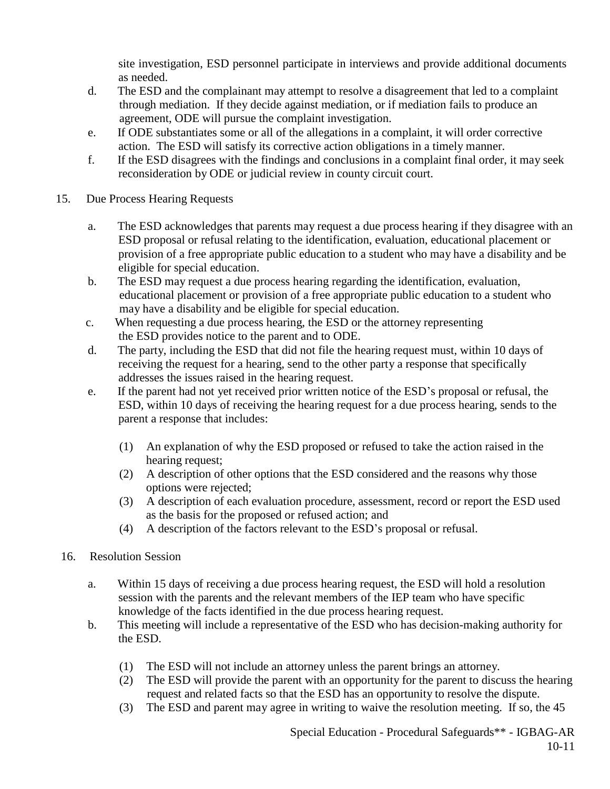site investigation, ESD personnel participate in interviews and provide additional documents as needed.

- d. The ESD and the complainant may attempt to resolve a disagreement that led to a complaint through mediation. If they decide against mediation, or if mediation fails to produce an agreement, ODE will pursue the complaint investigation.
- e. If ODE substantiates some or all of the allegations in a complaint, it will order corrective action. The ESD will satisfy its corrective action obligations in a timely manner.
- f. If the ESD disagrees with the findings and conclusions in a complaint final order, it may seek reconsideration by ODE or judicial review in county circuit court.
- 15. Due Process Hearing Requests
	- a. The ESD acknowledges that parents may request a due process hearing if they disagree with an ESD proposal or refusal relating to the identification, evaluation, educational placement or provision of a free appropriate public education to a student who may have a disability and be eligible for special education.
	- b. The ESD may request a due process hearing regarding the identification, evaluation, educational placement or provision of a free appropriate public education to a student who may have a disability and be eligible for special education.
	- c. When requesting a due process hearing, the ESD or the attorney representing the ESD provides notice to the parent and to ODE.
	- d. The party, including the ESD that did not file the hearing request must, within 10 days of receiving the request for a hearing, send to the other party a response that specifically addresses the issues raised in the hearing request.
	- e. If the parent had not yet received prior written notice of the ESD's proposal or refusal, the ESD, within 10 days of receiving the hearing request for a due process hearing, sends to the parent a response that includes:
		- (1) An explanation of why the ESD proposed or refused to take the action raised in the hearing request;
		- (2) A description of other options that the ESD considered and the reasons why those options were rejected;
		- (3) A description of each evaluation procedure, assessment, record or report the ESD used as the basis for the proposed or refused action; and
		- (4) A description of the factors relevant to the ESD's proposal or refusal.
- 16. Resolution Session
	- a. Within 15 days of receiving a due process hearing request, the ESD will hold a resolution session with the parents and the relevant members of the IEP team who have specific knowledge of the facts identified in the due process hearing request.
	- b. This meeting will include a representative of the ESD who has decision-making authority for the ESD.
		- (1) The ESD will not include an attorney unless the parent brings an attorney.
		- (2) The ESD will provide the parent with an opportunity for the parent to discuss the hearing request and related facts so that the ESD has an opportunity to resolve the dispute.
		- (3) The ESD and parent may agree in writing to waive the resolution meeting. If so, the 45